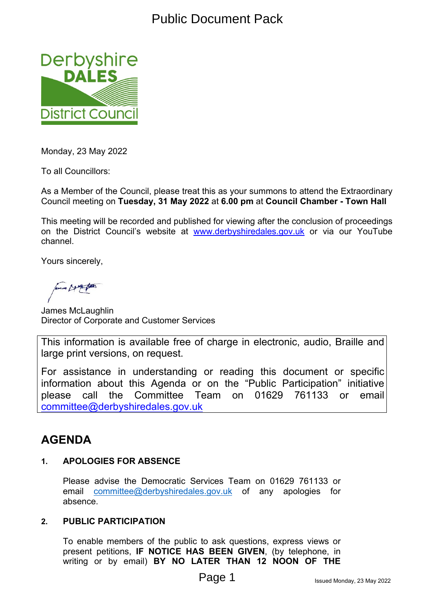

Monday, 23 May 2022

To all Councillors:

As a Member of the Council, please treat this as your summons to attend the Extraordinary Council meeting on **Tuesday, 31 May 2022** at **6.00 pm** at **Council Chamber - Town Hall**

This meeting will be recorded and published for viewing after the conclusion of proceedings on the District Council's website at [www.derbyshiredales.gov.uk](http://www.derbyshiredales.gov.uk/) or via our YouTube channel.

Yours sincerely,

James McLaughlin Director of Corporate and Customer Services

This information is available free of charge in electronic, audio, Braille and large print versions, on request.

For assistance in understanding or reading this document or specific information about this Agenda or on the "Public Participation" initiative please call the Committee Team on 01629 761133 or email [committee@derbyshiredales.gov.uk](mailto:committee@derbyshiredales.gov.uk)

# **AGENDA**

#### **1. APOLOGIES FOR ABSENCE**

Please advise the Democratic Services Team on 01629 761133 or email [committee@derbyshiredales.gov.uk](mailto:committee@derbyshire.gov.uk) of any apologies for absence.

#### **2. PUBLIC PARTICIPATION**

To enable members of the public to ask questions, express views or present petitions, **IF NOTICE HAS BEEN GIVEN**, (by telephone, in writing or by email) **BY NO LATER THAN 12 NOON OF THE**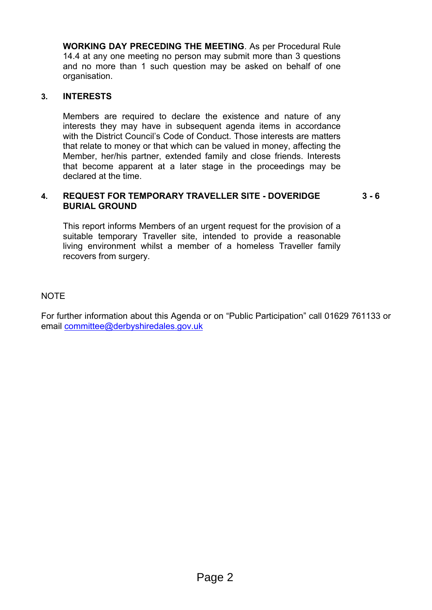**WORKING DAY PRECEDING THE MEETING**. As per Procedural Rule 14.4 at any one meeting no person may submit more than 3 questions and no more than 1 such question may be asked on behalf of one organisation.

#### **3. INTERESTS**

Members are required to declare the existence and nature of any interests they may have in subsequent agenda items in accordance with the District Council's Code of Conduct. Those interests are matters that relate to money or that which can be valued in money, affecting the Member, her/his partner, extended family and close friends. Interests that become apparent at a later stage in the proceedings may be declared at the time.

#### **4. REQUEST FOR TEMPORARY TRAVELLER SITE - DOVERIDGE BURIAL GROUND 3 - 6**

This report informs Members of an urgent request for the provision of a suitable temporary Traveller site, intended to provide a reasonable living environment whilst a member of a homeless Traveller family recovers from surgery.

#### NOTE

For further information about this Agenda or on "Public Participation" call 01629 761133 or email [committee@derbyshiredales.gov.uk](mailto:committee@derbyshiredales.gov.uk)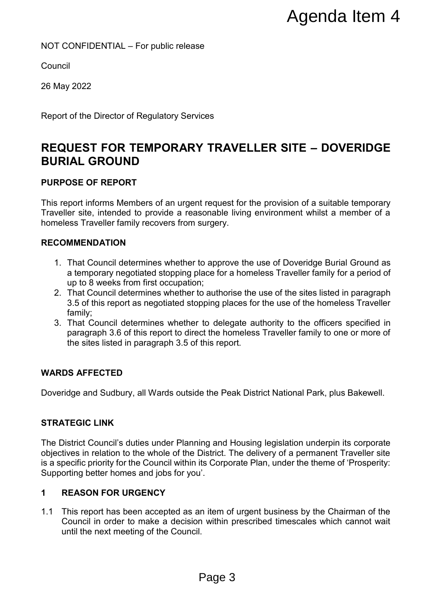#### NOT CONFIDENTIAL – For public release

**Council** 

26 May 2022

Report of the Director of Regulatory Services

# **REQUEST FOR TEMPORARY TRAVELLER SITE – DOVERIDGE BURIAL GROUND**

#### **PURPOSE OF REPORT**

This report informs Members of an urgent request for the provision of a suitable temporary Traveller site, intended to provide a reasonable living environment whilst a member of a homeless Traveller family recovers from surgery.

#### **RECOMMENDATION**

- 1. That Council determines whether to approve the use of Doveridge Burial Ground as a temporary negotiated stopping place for a homeless Traveller family for a period of up to 8 weeks from first occupation;
- 2. That Council determines whether to authorise the use of the sites listed in paragraph 3.5 of this report as negotiated stopping places for the use of the homeless Traveller family;
- 3. That Council determines whether to delegate authority to the officers specified in paragraph 3.6 of this report to direct the homeless Traveller family to one or more of the sites listed in paragraph 3.5 of this report.

#### **WARDS AFFECTED**

Doveridge and Sudbury, all Wards outside the Peak District National Park, plus Bakewell.

#### **STRATEGIC LINK**

The District Council's duties under Planning and Housing legislation underpin its corporate objectives in relation to the whole of the District. The delivery of a permanent Traveller site is a specific priority for the Council within its Corporate Plan, under the theme of 'Prosperity: Supporting better homes and jobs for you'. **Example 2 Agenda Item 4**<br>
FINAVELLER SITE - DOVERIDGE<br>
Intequest for the provision of a suitable temporary<br>
somable inving environment whilst a member of a<br>
surgery.<br>
Ito approve the use of Doveridge Burial Ground as<br>
ala

#### **1 REASON FOR URGENCY**

1.1 This report has been accepted as an item of urgent business by the Chairman of the Council in order to make a decision within prescribed timescales which cannot wait until the next meeting of the Council.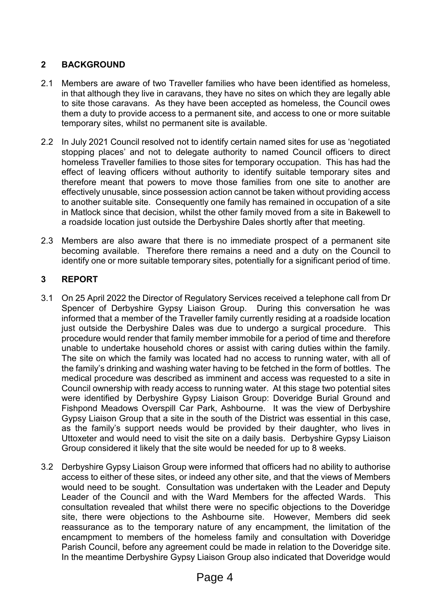# **2 BACKGROUND**

- 2.1 Members are aware of two Traveller families who have been identified as homeless, in that although they live in caravans, they have no sites on which they are legally able to site those caravans. As they have been accepted as homeless, the Council owes them a duty to provide access to a permanent site, and access to one or more suitable temporary sites, whilst no permanent site is available.
- 2.2 In July 2021 Council resolved not to identify certain named sites for use as 'negotiated stopping places' and not to delegate authority to named Council officers to direct homeless Traveller families to those sites for temporary occupation. This has had the effect of leaving officers without authority to identify suitable temporary sites and therefore meant that powers to move those families from one site to another are effectively unusable, since possession action cannot be taken without providing access to another suitable site. Consequently one family has remained in occupation of a site in Matlock since that decision, whilst the other family moved from a site in Bakewell to a roadside location just outside the Derbyshire Dales shortly after that meeting.
- 2.3 Members are also aware that there is no immediate prospect of a permanent site becoming available. Therefore there remains a need and a duty on the Council to identify one or more suitable temporary sites, potentially for a significant period of time.

## **3 REPORT**

- 3.1 On 25 April 2022 the Director of Regulatory Services received a telephone call from Dr Spencer of Derbyshire Gypsy Liaison Group. During this conversation he was informed that a member of the Traveller family currently residing at a roadside location just outside the Derbyshire Dales was due to undergo a surgical procedure. This procedure would render that family member immobile for a period of time and therefore unable to undertake household chores or assist with caring duties within the family. The site on which the family was located had no access to running water, with all of the family's drinking and washing water having to be fetched in the form of bottles. The medical procedure was described as imminent and access was requested to a site in Council ownership with ready access to running water. At this stage two potential sites were identified by Derbyshire Gypsy Liaison Group: Doveridge Burial Ground and Fishpond Meadows Overspill Car Park, Ashbourne. It was the view of Derbyshire Gypsy Liaison Group that a site in the south of the District was essential in this case, as the family's support needs would be provided by their daughter, who lives in Uttoxeter and would need to visit the site on a daily basis. Derbyshire Gypsy Liaison Group considered it likely that the site would be needed for up to 8 weeks.
- 3.2 Derbyshire Gypsy Liaison Group were informed that officers had no ability to authorise access to either of these sites, or indeed any other site, and that the views of Members would need to be sought. Consultation was undertaken with the Leader and Deputy Leader of the Council and with the Ward Members for the affected Wards. This consultation revealed that whilst there were no specific objections to the Doveridge site, there were objections to the Ashbourne site. However, Members did seek reassurance as to the temporary nature of any encampment, the limitation of the encampment to members of the homeless family and consultation with Doveridge Parish Council, before any agreement could be made in relation to the Doveridge site. In the meantime Derbyshire Gypsy Liaison Group also indicated that Doveridge would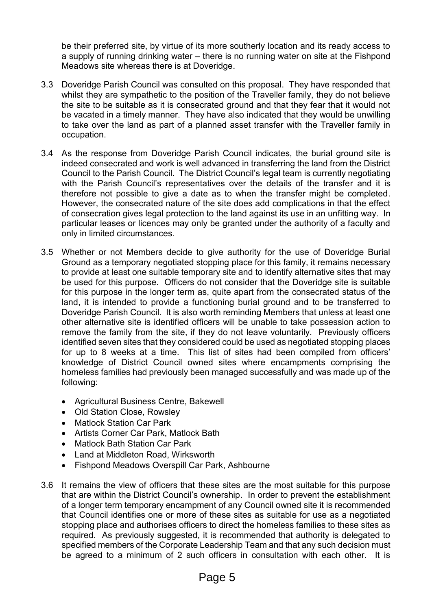be their preferred site, by virtue of its more southerly location and its ready access to a supply of running drinking water – there is no running water on site at the Fishpond Meadows site whereas there is at Doveridge.

- 3.3 Doveridge Parish Council was consulted on this proposal. They have responded that whilst they are sympathetic to the position of the Traveller family, they do not believe the site to be suitable as it is consecrated ground and that they fear that it would not be vacated in a timely manner. They have also indicated that they would be unwilling to take over the land as part of a planned asset transfer with the Traveller family in occupation.
- 3.4 As the response from Doveridge Parish Council indicates, the burial ground site is indeed consecrated and work is well advanced in transferring the land from the District Council to the Parish Council. The District Council's legal team is currently negotiating with the Parish Council's representatives over the details of the transfer and it is therefore not possible to give a date as to when the transfer might be completed. However, the consecrated nature of the site does add complications in that the effect of consecration gives legal protection to the land against its use in an unfitting way. In particular leases or licences may only be granted under the authority of a faculty and only in limited circumstances.
- 3.5 Whether or not Members decide to give authority for the use of Doveridge Burial Ground as a temporary negotiated stopping place for this family, it remains necessary to provide at least one suitable temporary site and to identify alternative sites that may be used for this purpose. Officers do not consider that the Doveridge site is suitable for this purpose in the longer term as, quite apart from the consecrated status of the land, it is intended to provide a functioning burial ground and to be transferred to Doveridge Parish Council. It is also worth reminding Members that unless at least one other alternative site is identified officers will be unable to take possession action to remove the family from the site, if they do not leave voluntarily. Previously officers identified seven sites that they considered could be used as negotiated stopping places for up to 8 weeks at a time. This list of sites had been compiled from officers' knowledge of District Council owned sites where encampments comprising the homeless families had previously been managed successfully and was made up of the following:
	- Agricultural Business Centre, Bakewell
	- Old Station Close, Rowsley
	- Matlock Station Car Park
	- Artists Corner Car Park, Matlock Bath
	- Matlock Bath Station Car Park
	- Land at Middleton Road, Wirksworth
	- Fishpond Meadows Overspill Car Park, Ashbourne
- 3.6 It remains the view of officers that these sites are the most suitable for this purpose that are within the District Council's ownership. In order to prevent the establishment of a longer term temporary encampment of any Council owned site it is recommended that Council identifies one or more of these sites as suitable for use as a negotiated stopping place and authorises officers to direct the homeless families to these sites as required. As previously suggested, it is recommended that authority is delegated to specified members of the Corporate Leadership Team and that any such decision must be agreed to a minimum of 2 such officers in consultation with each other. It is